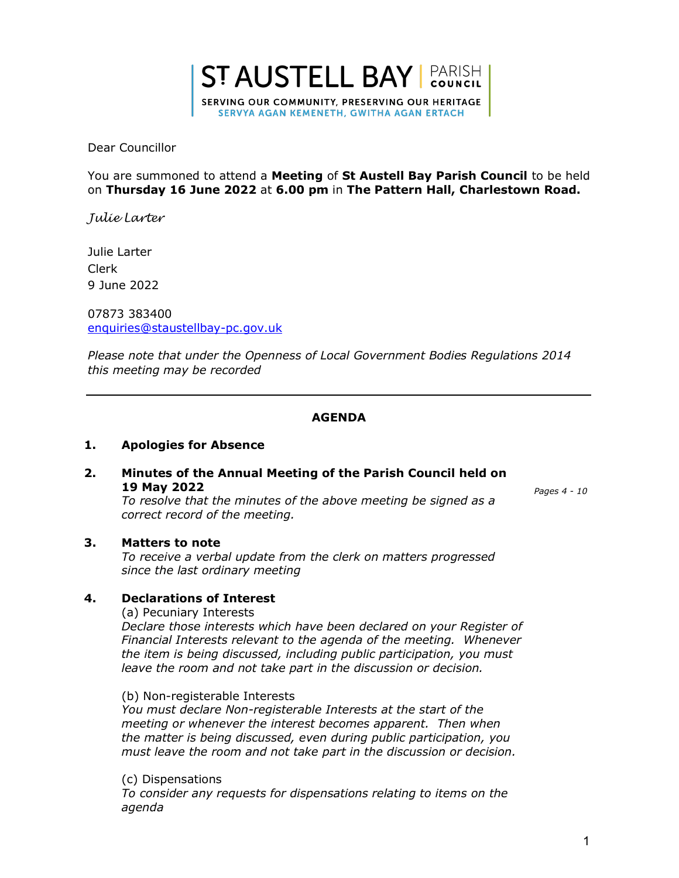**ST AUSTELL BAY | PARISH** SERVING OUR COMMUNITY, PRESERVING OUR HERITAGE

SERVYA AGAN KEMENETH, GWITHA AGAN ERTACH

Dear Councillor

You are summoned to attend a Meeting of St Austell Bay Parish Council to be held on Thursday 16 June 2022 at 6.00 pm in The Pattern Hall, Charlestown Road.

Julie Larter

Julie Larter Clerk 9 June 2022

07873 383400 enquiries@staustellbay-pc.gov.uk

Please note that under the Openness of Local Government Bodies Regulations 2014 this meeting may be recorded

# AGENDA

#### 1. Apologies for Absence

#### 2. Minutes of the Annual Meeting of the Parish Council held on 19 May 2022

To resolve that the minutes of the above meeting be signed as a correct record of the meeting.

3. Matters to note

To receive a verbal update from the clerk on matters progressed since the last ordinary meeting

# 4. Declarations of Interest

(a) Pecuniary Interests

Declare those interests which have been declared on your Register of Financial Interests relevant to the agenda of the meeting. Whenever the item is being discussed, including public participation, you must leave the room and not take part in the discussion or decision.

(b) Non-registerable Interests

You must declare Non-registerable Interests at the start of the meeting or whenever the interest becomes apparent. Then when the matter is being discussed, even during public participation, you must leave the room and not take part in the discussion or decision.

(c) Dispensations To consider any requests for dispensations relating to items on the agenda

Pages 4 - 10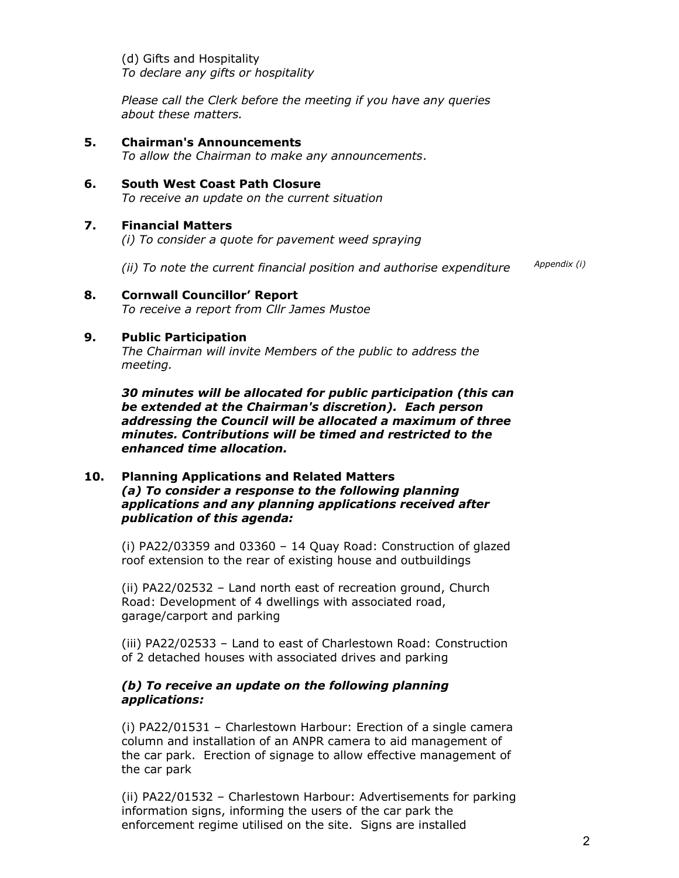(d) Gifts and Hospitality To declare any gifts or hospitality

Please call the Clerk before the meeting if you have any queries about these matters.

- 5. Chairman's Announcements To allow the Chairman to make any announcements.
- 6. South West Coast Path Closure To receive an update on the current situation

#### 7. Financial Matters

(i) To consider a quote for pavement weed spraying

(ii) To note the current financial position and authorise expenditure  $\frac{Appendix(i)}{$ 

# 8. Cornwall Councillor' Report

To receive a report from Cllr James Mustoe

#### 9. Public Participation

The Chairman will invite Members of the public to address the meeting.

30 minutes will be allocated for public participation (this can be extended at the Chairman's discretion). Each person addressing the Council will be allocated a maximum of three minutes. Contributions will be timed and restricted to the enhanced time allocation.

#### 10. Planning Applications and Related Matters (a) To consider a response to the following planning applications and any planning applications received after publication of this agenda:

(i) PA22/03359 and 03360 – 14 Quay Road: Construction of glazed roof extension to the rear of existing house and outbuildings

(ii) PA22/02532 – Land north east of recreation ground, Church Road: Development of 4 dwellings with associated road, garage/carport and parking

(iii) PA22/02533 – Land to east of Charlestown Road: Construction of 2 detached houses with associated drives and parking

#### (b) To receive an update on the following planning applications:

(i) PA22/01531 – Charlestown Harbour: Erection of a single camera column and installation of an ANPR camera to aid management of the car park. Erection of signage to allow effective management of the car park

(ii) PA22/01532 – Charlestown Harbour: Advertisements for parking information signs, informing the users of the car park the enforcement regime utilised on the site. Signs are installed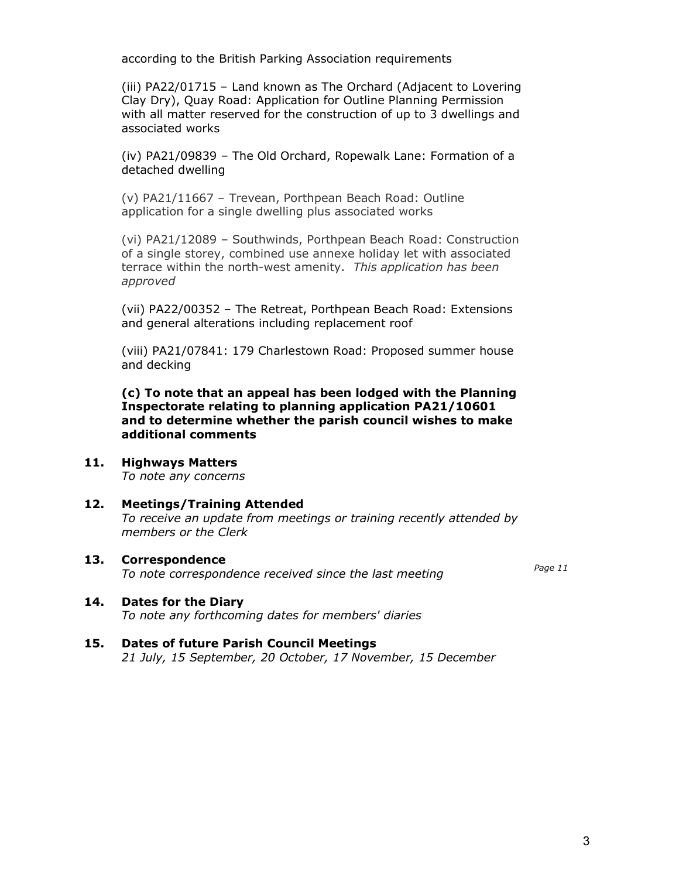according to the British Parking Association requirements

(iii) PA22/01715 – Land known as The Orchard (Adjacent to Lovering Clay Dry), Quay Road: Application for Outline Planning Permission with all matter reserved for the construction of up to 3 dwellings and associated works

(iv) PA21/09839 – The Old Orchard, Ropewalk Lane: Formation of a detached dwelling

(v) PA21/11667 – Trevean, Porthpean Beach Road: Outline application for a single dwelling plus associated works

(vi) PA21/12089 – Southwinds, Porthpean Beach Road: Construction of a single storey, combined use annexe holiday let with associated terrace within the north-west amenity. This application has been approved

(vii) PA22/00352 – The Retreat, Porthpean Beach Road: Extensions and general alterations including replacement roof

(viii) PA21/07841: 179 Charlestown Road: Proposed summer house and decking

(c) To note that an appeal has been lodged with the Planning Inspectorate relating to planning application PA21/10601 and to determine whether the parish council wishes to make additional comments

- 11. Highways Matters To note any concerns
- 12. Meetings/Training Attended To receive an update from meetings or training recently attended by members or the Clerk
- 13. Correspondence **The correspondence received since the last meeting Follow Correspondence received since the last meeting Page 11**

14. Dates for the Diary To note any forthcoming dates for members' diaries

#### 15. Dates of future Parish Council Meetings 21 July, 15 September, 20 October, 17 November, 15 December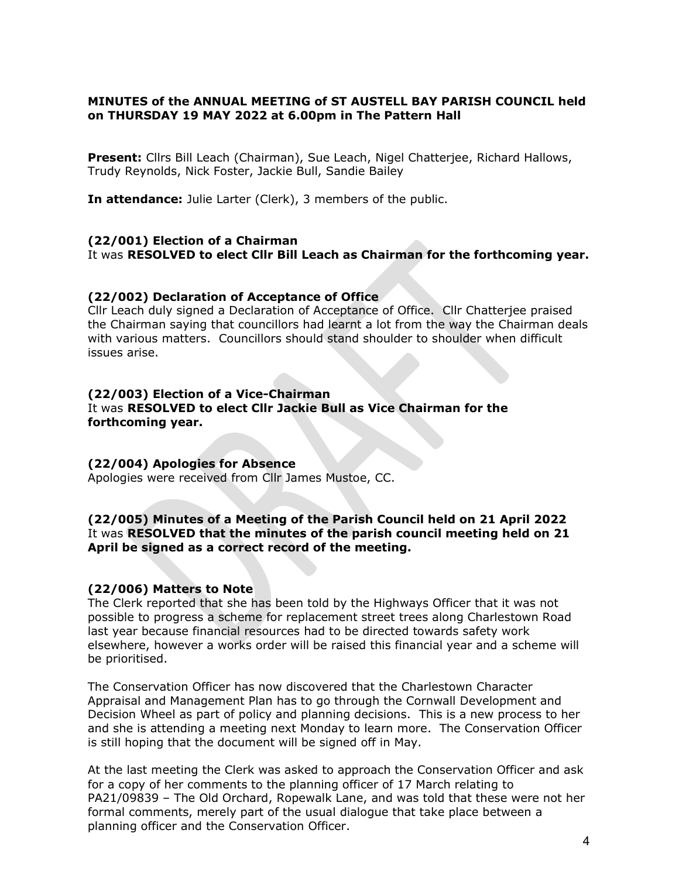#### MINUTES of the ANNUAL MEETING of ST AUSTELL BAY PARISH COUNCIL held on THURSDAY 19 MAY 2022 at 6.00pm in The Pattern Hall

Present: Cllrs Bill Leach (Chairman), Sue Leach, Nigel Chatteriee, Richard Hallows, Trudy Reynolds, Nick Foster, Jackie Bull, Sandie Bailey

In attendance: Julie Larter (Clerk), 3 members of the public.

#### (22/001) Election of a Chairman It was RESOLVED to elect Cllr Bill Leach as Chairman for the forthcoming year.

#### (22/002) Declaration of Acceptance of Office

Cllr Leach duly signed a Declaration of Acceptance of Office. Cllr Chatterjee praised the Chairman saying that councillors had learnt a lot from the way the Chairman deals with various matters. Councillors should stand shoulder to shoulder when difficult issues arise.

#### (22/003) Election of a Vice-Chairman

It was RESOLVED to elect Cllr Jackie Bull as Vice Chairman for the forthcoming year.

#### (22/004) Apologies for Absence

Apologies were received from Cllr James Mustoe, CC.

#### (22/005) Minutes of a Meeting of the Parish Council held on 21 April 2022 It was RESOLVED that the minutes of the parish council meeting held on 21 April be signed as a correct record of the meeting.

#### (22/006) Matters to Note

The Clerk reported that she has been told by the Highways Officer that it was not possible to progress a scheme for replacement street trees along Charlestown Road last year because financial resources had to be directed towards safety work elsewhere, however a works order will be raised this financial year and a scheme will be prioritised.

The Conservation Officer has now discovered that the Charlestown Character Appraisal and Management Plan has to go through the Cornwall Development and Decision Wheel as part of policy and planning decisions. This is a new process to her and she is attending a meeting next Monday to learn more. The Conservation Officer is still hoping that the document will be signed off in May.

At the last meeting the Clerk was asked to approach the Conservation Officer and ask for a copy of her comments to the planning officer of 17 March relating to PA21/09839 – The Old Orchard, Ropewalk Lane, and was told that these were not her formal comments, merely part of the usual dialogue that take place between a planning officer and the Conservation Officer.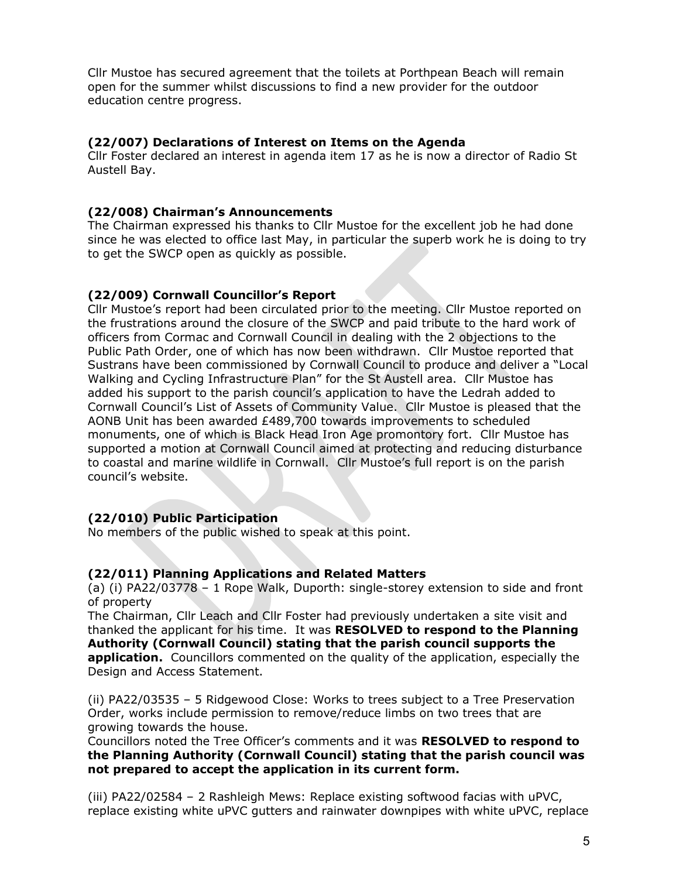Cllr Mustoe has secured agreement that the toilets at Porthpean Beach will remain open for the summer whilst discussions to find a new provider for the outdoor education centre progress.

#### (22/007) Declarations of Interest on Items on the Agenda

Cllr Foster declared an interest in agenda item 17 as he is now a director of Radio St Austell Bay.

#### (22/008) Chairman's Announcements

The Chairman expressed his thanks to Cllr Mustoe for the excellent job he had done since he was elected to office last May, in particular the superb work he is doing to try to get the SWCP open as quickly as possible.

#### (22/009) Cornwall Councillor's Report

Cllr Mustoe's report had been circulated prior to the meeting. Cllr Mustoe reported on the frustrations around the closure of the SWCP and paid tribute to the hard work of officers from Cormac and Cornwall Council in dealing with the 2 objections to the Public Path Order, one of which has now been withdrawn. Cllr Mustoe reported that Sustrans have been commissioned by Cornwall Council to produce and deliver a "Local Walking and Cycling Infrastructure Plan" for the St Austell area. Cllr Mustoe has added his support to the parish council's application to have the Ledrah added to Cornwall Council's List of Assets of Community Value. Cllr Mustoe is pleased that the AONB Unit has been awarded £489,700 towards improvements to scheduled monuments, one of which is Black Head Iron Age promontory fort. Cllr Mustoe has supported a motion at Cornwall Council aimed at protecting and reducing disturbance to coastal and marine wildlife in Cornwall. Cllr Mustoe's full report is on the parish council's website.

#### (22/010) Public Participation

No members of the public wished to speak at this point.

#### (22/011) Planning Applications and Related Matters

(a) (i) PA22/03778 – 1 Rope Walk, Duporth: single-storey extension to side and front of property

The Chairman, Cllr Leach and Cllr Foster had previously undertaken a site visit and thanked the applicant for his time. It was RESOLVED to respond to the Planning Authority (Cornwall Council) stating that the parish council supports the **application.** Councillors commented on the quality of the application, especially the Design and Access Statement.

(ii) PA22/03535 – 5 Ridgewood Close: Works to trees subject to a Tree Preservation Order, works include permission to remove/reduce limbs on two trees that are growing towards the house.

Councillors noted the Tree Officer's comments and it was RESOLVED to respond to the Planning Authority (Cornwall Council) stating that the parish council was not prepared to accept the application in its current form.

(iii) PA22/02584 – 2 Rashleigh Mews: Replace existing softwood facias with uPVC, replace existing white uPVC gutters and rainwater downpipes with white uPVC, replace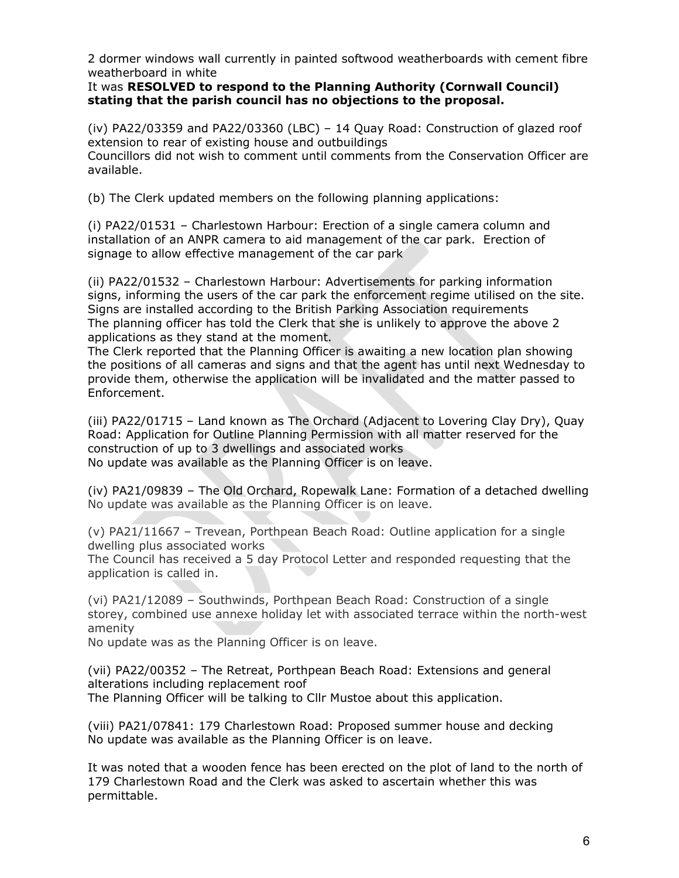2 dormer windows wall currently in painted softwood weatherboards with cement fibre weatherboard in white

It was RESOLVED to respond to the Planning Authority (Cornwall Council) stating that the parish council has no objections to the proposal.

(iv) PA22/03359 and PA22/03360 (LBC) – 14 Quay Road: Construction of glazed roof extension to rear of existing house and outbuildings Councillors did not wish to comment until comments from the Conservation Officer are

(b) The Clerk updated members on the following planning applications:

available.

(i) PA22/01531 – Charlestown Harbour: Erection of a single camera column and installation of an ANPR camera to aid management of the car park. Erection of signage to allow effective management of the car park

(ii) PA22/01532 – Charlestown Harbour: Advertisements for parking information signs, informing the users of the car park the enforcement regime utilised on the site. Signs are installed according to the British Parking Association requirements The planning officer has told the Clerk that she is unlikely to approve the above 2 applications as they stand at the moment.

The Clerk reported that the Planning Officer is awaiting a new location plan showing the positions of all cameras and signs and that the agent has until next Wednesday to provide them, otherwise the application will be invalidated and the matter passed to Enforcement.

(iii) PA22/01715 – Land known as The Orchard (Adjacent to Lovering Clay Dry), Quay Road: Application for Outline Planning Permission with all matter reserved for the construction of up to 3 dwellings and associated works No update was available as the Planning Officer is on leave.

(iv) PA21/09839 – The Old Orchard, Ropewalk Lane: Formation of a detached dwelling No update was available as the Planning Officer is on leave.

(v) PA21/11667 – Trevean, Porthpean Beach Road: Outline application for a single dwelling plus associated works

The Council has received a 5 day Protocol Letter and responded requesting that the application is called in.

(vi) PA21/12089 – Southwinds, Porthpean Beach Road: Construction of a single storey, combined use annexe holiday let with associated terrace within the north-west amenity

No update was as the Planning Officer is on leave.

(vii) PA22/00352 – The Retreat, Porthpean Beach Road: Extensions and general alterations including replacement roof The Planning Officer will be talking to Cllr Mustoe about this application.

(viii) PA21/07841: 179 Charlestown Road: Proposed summer house and decking No update was available as the Planning Officer is on leave.

It was noted that a wooden fence has been erected on the plot of land to the north of 179 Charlestown Road and the Clerk was asked to ascertain whether this was permittable.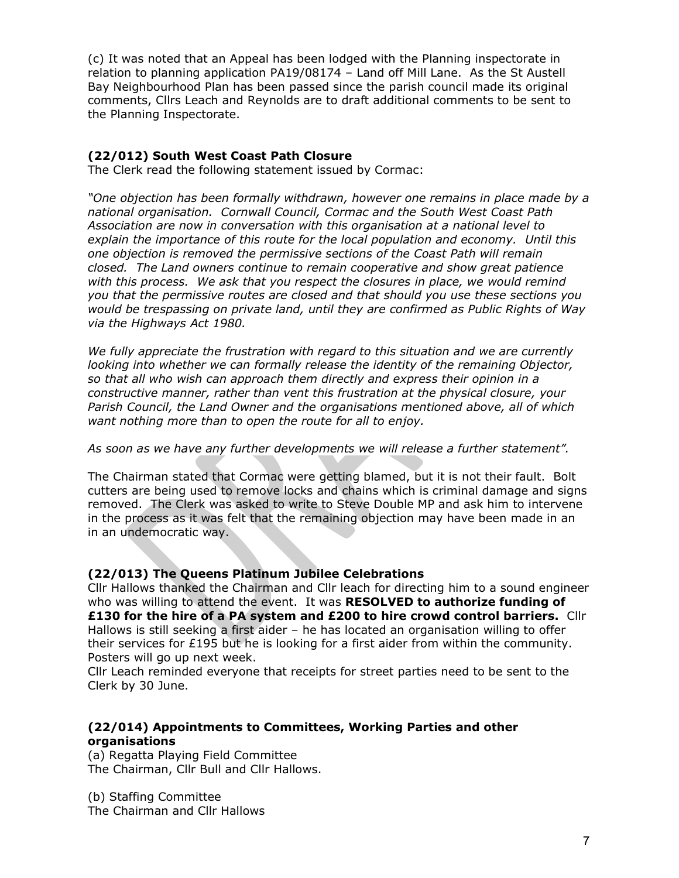(c) It was noted that an Appeal has been lodged with the Planning inspectorate in relation to planning application PA19/08174 – Land off Mill Lane. As the St Austell Bay Neighbourhood Plan has been passed since the parish council made its original comments, Cllrs Leach and Reynolds are to draft additional comments to be sent to the Planning Inspectorate.

#### (22/012) South West Coast Path Closure

The Clerk read the following statement issued by Cormac:

"One objection has been formally withdrawn, however one remains in place made by a national organisation. Cornwall Council, Cormac and the South West Coast Path Association are now in conversation with this organisation at a national level to explain the importance of this route for the local population and economy. Until this one objection is removed the permissive sections of the Coast Path will remain closed. The Land owners continue to remain cooperative and show great patience with this process. We ask that you respect the closures in place, we would remind you that the permissive routes are closed and that should you use these sections you would be trespassing on private land, until they are confirmed as Public Rights of Way via the Highways Act 1980.

We fully appreciate the frustration with regard to this situation and we are currently looking into whether we can formally release the identity of the remaining Objector, so that all who wish can approach them directly and express their opinion in a constructive manner, rather than vent this frustration at the physical closure, your Parish Council, the Land Owner and the organisations mentioned above, all of which want nothing more than to open the route for all to enjoy.

#### As soon as we have any further developments we will release a further statement".

The Chairman stated that Cormac were getting blamed, but it is not their fault. Bolt cutters are being used to remove locks and chains which is criminal damage and signs removed. The Clerk was asked to write to Steve Double MP and ask him to intervene in the process as it was felt that the remaining objection may have been made in an in an undemocratic way.

#### (22/013) The Queens Platinum Jubilee Celebrations

Cllr Hallows thanked the Chairman and Cllr leach for directing him to a sound engineer who was willing to attend the event. It was RESOLVED to authorize funding of £130 for the hire of a PA system and £200 to hire crowd control barriers. Cllr Hallows is still seeking a first aider – he has located an organisation willing to offer their services for  $£195$  but he is looking for a first aider from within the community. Posters will go up next week.

Cllr Leach reminded everyone that receipts for street parties need to be sent to the Clerk by 30 June.

#### (22/014) Appointments to Committees, Working Parties and other organisations

(a) Regatta Playing Field Committee The Chairman, Cllr Bull and Cllr Hallows.

(b) Staffing Committee The Chairman and Cllr Hallows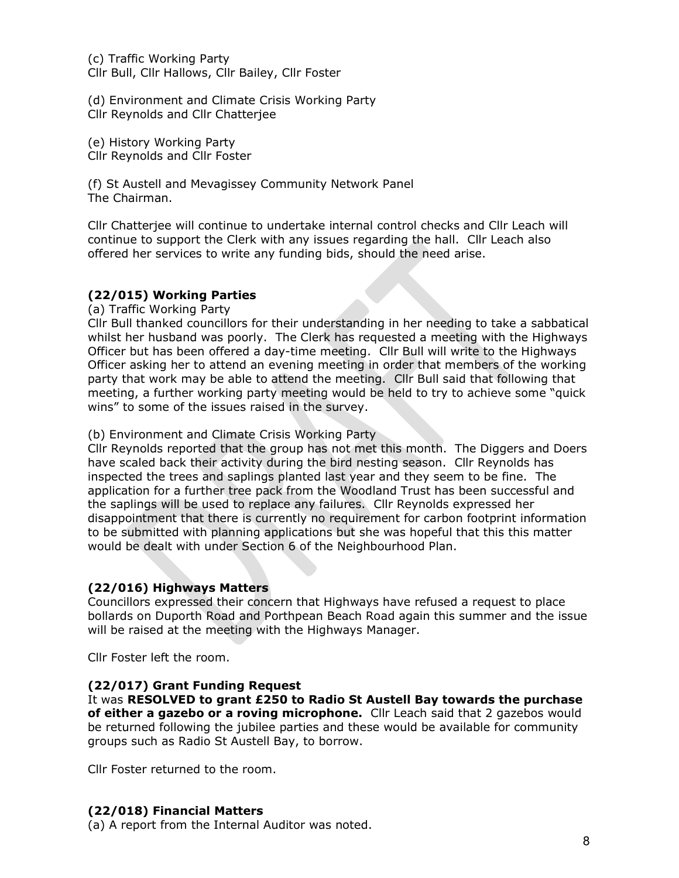(c) Traffic Working Party Cllr Bull, Cllr Hallows, Cllr Bailey, Cllr Foster

(d) Environment and Climate Crisis Working Party Cllr Reynolds and Cllr Chatterjee

(e) History Working Party

Cllr Reynolds and Cllr Foster

(f) St Austell and Mevagissey Community Network Panel The Chairman.

Cllr Chatterjee will continue to undertake internal control checks and Cllr Leach will continue to support the Clerk with any issues regarding the hall. Cllr Leach also offered her services to write any funding bids, should the need arise.

# (22/015) Working Parties

(a) Traffic Working Party

Cllr Bull thanked councillors for their understanding in her needing to take a sabbatical whilst her husband was poorly. The Clerk has requested a meeting with the Highways Officer but has been offered a day-time meeting. Cllr Bull will write to the Highways Officer asking her to attend an evening meeting in order that members of the working party that work may be able to attend the meeting. Cllr Bull said that following that meeting, a further working party meeting would be held to try to achieve some "quick wins" to some of the issues raised in the survey.

(b) Environment and Climate Crisis Working Party

Cllr Reynolds reported that the group has not met this month. The Diggers and Doers have scaled back their activity during the bird nesting season. Cllr Reynolds has inspected the trees and saplings planted last year and they seem to be fine. The application for a further tree pack from the Woodland Trust has been successful and the saplings will be used to replace any failures. Cllr Reynolds expressed her disappointment that there is currently no requirement for carbon footprint information to be submitted with planning applications but she was hopeful that this this matter would be dealt with under Section 6 of the Neighbourhood Plan.

#### (22/016) Highways Matters

Councillors expressed their concern that Highways have refused a request to place bollards on Duporth Road and Porthpean Beach Road again this summer and the issue will be raised at the meeting with the Highways Manager.

Cllr Foster left the room.

#### (22/017) Grant Funding Request

It was RESOLVED to grant £250 to Radio St Austell Bay towards the purchase of either a gazebo or a roving microphone. Cllr Leach said that 2 gazebos would be returned following the jubilee parties and these would be available for community groups such as Radio St Austell Bay, to borrow.

Cllr Foster returned to the room.

# (22/018) Financial Matters

(a) A report from the Internal Auditor was noted.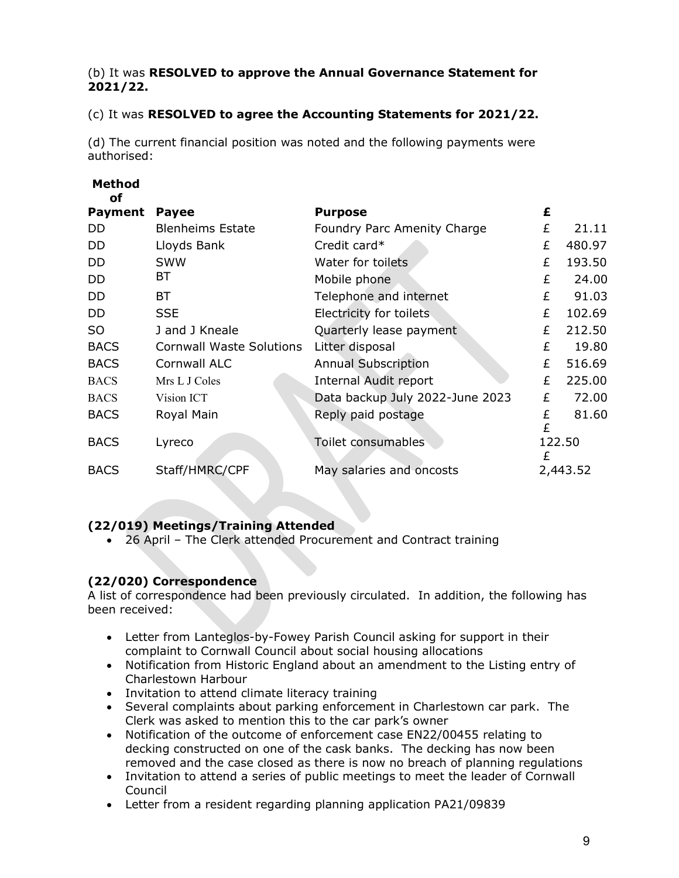#### (b) It was RESOLVED to approve the Annual Governance Statement for 2021/22.

#### (c) It was RESOLVED to agree the Accounting Statements for 2021/22.

(d) The current financial position was noted and the following payments were authorised:

| <b>Method</b><br>οf |                                 |                                 |        |          |
|---------------------|---------------------------------|---------------------------------|--------|----------|
| <b>Payment</b>      | <b>Payee</b>                    | <b>Purpose</b>                  | £      |          |
| DD                  | <b>Blenheims Estate</b>         | Foundry Parc Amenity Charge     | £      | 21.11    |
| DD                  | Lloyds Bank                     | Credit card*                    | £      | 480.97   |
| DD                  | <b>SWW</b>                      | Water for toilets               | £      | 193.50   |
| DD                  | ВT                              | Mobile phone                    | £      | 24.00    |
| DD                  | <b>BT</b>                       | Telephone and internet          | £      | 91.03    |
| DD                  | <b>SSE</b>                      | Electricity for toilets         | £      | 102.69   |
| SO                  | J and J Kneale                  | Quarterly lease payment         | £      | 212.50   |
| <b>BACS</b>         | <b>Cornwall Waste Solutions</b> | Litter disposal                 | £      | 19.80    |
| <b>BACS</b>         | <b>Cornwall ALC</b>             | <b>Annual Subscription</b>      | £      | 516.69   |
| <b>BACS</b>         | Mrs L J Coles                   | <b>Internal Audit report</b>    | £      | 225.00   |
| <b>BACS</b>         | Vision ICT                      | Data backup July 2022-June 2023 | £      | 72.00    |
| <b>BACS</b>         | Royal Main                      | Reply paid postage              | £      | 81.60    |
| <b>BACS</b>         | Lyreco                          | Toilet consumables              | £<br>£ | 122.50   |
| <b>BACS</b>         | Staff/HMRC/CPF                  | May salaries and oncosts        |        | 2,443.52 |

# (22/019) Meetings/Training Attended

26 April – The Clerk attended Procurement and Contract training

# (22/020) Correspondence

A list of correspondence had been previously circulated. In addition, the following has been received:

- Letter from Lanteglos-by-Fowey Parish Council asking for support in their complaint to Cornwall Council about social housing allocations
- Notification from Historic England about an amendment to the Listing entry of Charlestown Harbour
- Invitation to attend climate literacy training
- Several complaints about parking enforcement in Charlestown car park. The Clerk was asked to mention this to the car park's owner
- Notification of the outcome of enforcement case EN22/00455 relating to decking constructed on one of the cask banks. The decking has now been removed and the case closed as there is now no breach of planning regulations
- Invitation to attend a series of public meetings to meet the leader of Cornwall Council
- Letter from a resident regarding planning application PA21/09839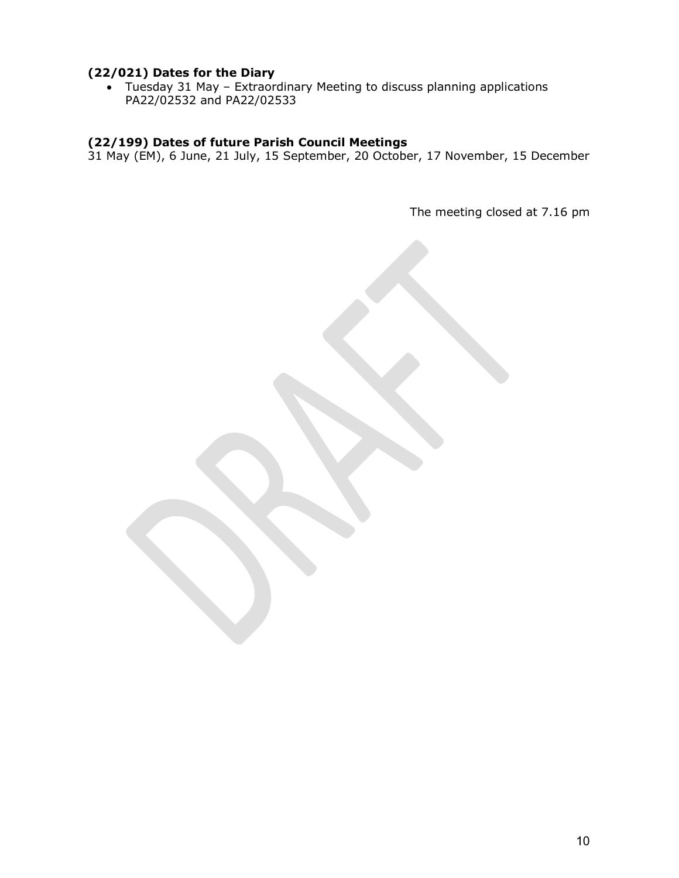# (22/021) Dates for the Diary

 Tuesday 31 May – Extraordinary Meeting to discuss planning applications PA22/02532 and PA22/02533

# (22/199) Dates of future Parish Council Meetings

31 May (EM), 6 June, 21 July, 15 September, 20 October, 17 November, 15 December

The meeting closed at 7.16 pm